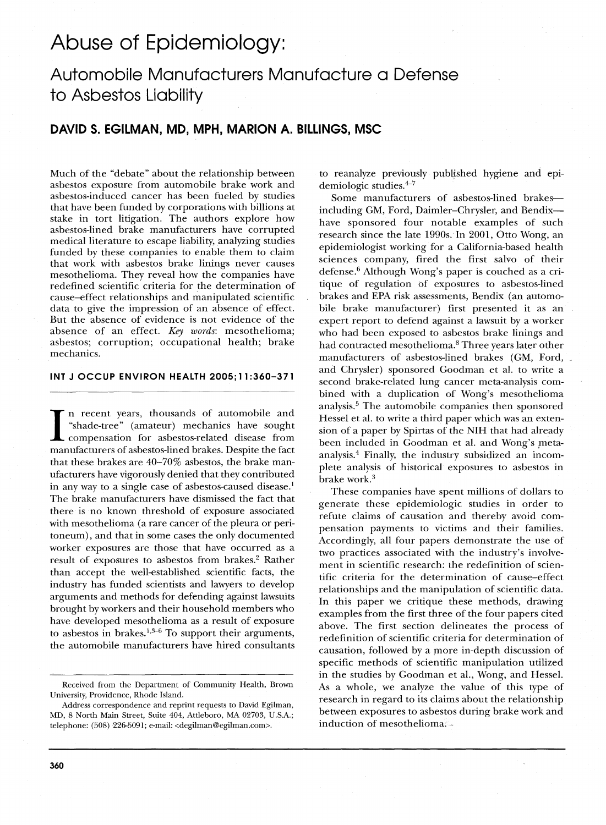# Abuse of Epidemiology:

## **Automobile Manufacturers Manufacture a Defense to Asbestos Liability**

## **DAVID S. EGllMAN, MD, MPH, MARION A. BilliNGS, MSC**

Much of the "debate" about the relationship between asbestos exposure from automobile brake work and asbestos-induced cancer has been fueled by studies that have been funded by corporations with billions at stake in tort litigation. The authors explore how asbestos-lined brake manufacturers have corrupted medical literature to escape liability, analyzing studies funded by these companies to enable them to claim that work with asbestos brake linings never causes mesothelioma. They reveal how the companies have redefined scientific criteria for the determination of cause-effect relationships and manipulated scientific data to give the impression of an absence of effect. But the absence of evidence is not evidence of the absence of an effect. *Key words:* mesothelioma; asbestos; corruption; occupational health; brake mechanics.

#### **INT J OCCUP ENVIRON HEALTH 2005; 11 :360-371**

INT J OCCUP ENVIRON HEALTH 2005;11:360–371<br>
IMPLEMENT PRESENT AND THE TRANSIST OF A "shade-tree" (amateur) mechanics have sought<br>
compensation for asbestos-related disease from<br>
manufacturers of asbestos-lined brakes. Desp n recent years, thousands of automobile and "shade-tree" (amateur) mechanics have sought compensation for asbestos-related disease from that these brakes are 40-70% asbestos, the brake manufacturers have vigorously denied that they contributed in any way to a single case of asbestos-caused disease.<sup>1</sup> The brake manufacturers have dismissed the fact that there is no known threshold of exposure associated with mesothelioma (a rare cancer of the pleura or peritoneum), and that in some cases the only documented worker exposures are those that have occurred as a result of exposures to asbestos from brakes.<sup>2</sup> Rather than accept the well-established scientific facts, the industry has funded scientists and lawyers to develop arguments and methods for defending against lawsuits brought by workers and their household members who have developed mesothelioma as a result of exposure to asbestos in brakes.<sup>1,3-6</sup> To support their arguments the automobile manufacturers have hired consultants to reanalyze previously published hygiene and epidemiologic studies. $4-7$ 

Some manufacturers of asbestos-lined brakesincluding GM, Ford, Daimler-Chrysler, and Bendixhave sponsored four notable examples of such research since the late 1990s. In 2001, Otto Wong, an epidemiologist working for a California-based health sciences company, fired the first salvo of their defense.<sup>6</sup> Although Wong's paper is couched as a critique of regulation of exposures to asbestos-lined brakes and EPA risk assessments, Bendix (an automobile brake manufacturer) first presented it as an expert report to defend against a lawsuit by a worker who had been exposed to asbestos brake linings and had contracted mesothelioma.<sup>8</sup> Three years later other manufacturers of asbestos-lined brakes (GM, Ford, and Chrysler) sponsored Goodman et al. to write a second brake-related lung cancer meta-analysis combined with a duplication of Wong's mesothelioma analysis.<sup>5</sup> The automobile companies then sponsored Hessel et al. to write a third paper which was an extension of a paper by Spirtas of the NIH that had already been included in Goodman et al. and Wong's metaanalysis.4 Finally, the industry subsidized an incomplete analysis of historical exposures to asbestos in brake work.<sup>3</sup>

These companies have spent millions of dollars to generate these epidemiologic studies in order to refute claims of causation and thereby avoid compensation payments to victims and their families. Accordingly, all four papers demonstrate the use of two practices associated with the industry's involvement in scientific research: the redefinition of scientific criteria for the determination of cause-effect relationships and the manipulation of scientific data. In this paper we critique these methods, drawing examples from the first three of the four papers cited above. The first section delineates the process of redefinition of scientific criteria for determination of causation, followed by a more in-depth discussion of specific methods of scientific manipulation utilized in the studies by Goodman et aI., Wong, and Hessel. As a whole, we analyze the value of this type of research in regard to its claims about the relationship between exposures to asbestos during brake work and induction of mesothelioma.

Received from the Department of Community Health, Brown University, Providence, Rhode Island.

Address correspondence and reprint requests to David Egilman, MD 8 North Main Street, Suite 404, Attleboro, MA 02703, U.S.A.; telephone: (508) 226-5091; e-mail: <degilman@egilman.com>.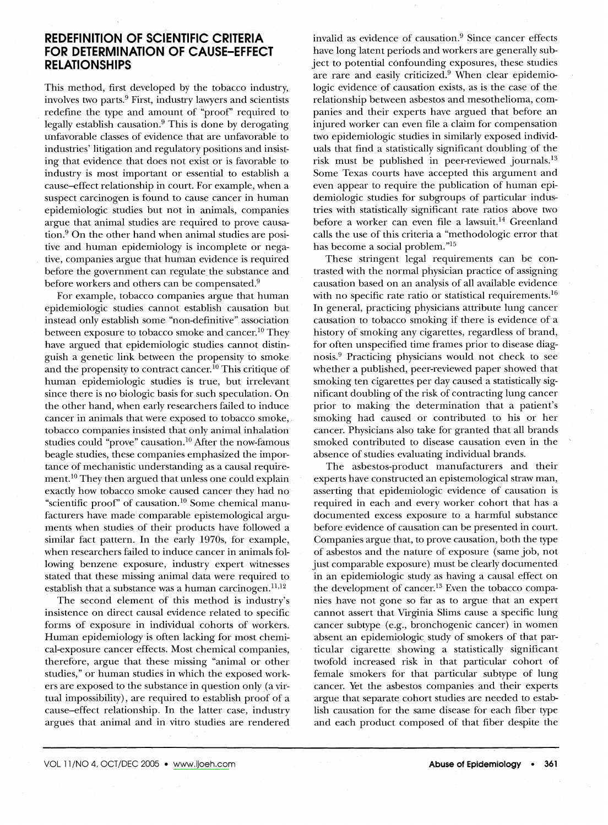### **REDEFINITION OF SCIENTIFIC CRITERIA** FOR DETERMINATION **OF CAUSE-EFFECT RELATIONSHIPS**

This method, first developed by the tobacco industry, involves two parts.<sup>9</sup> First, industry lawyers and scientists redefine the type and amount of "proof' required to legally establish causation.<sup>9</sup> This is done by derogating unfavorable classes of evidence that are unfavorable to industries' litigation and regulatory positions and insisting that evidence that does not exist or is favorable to industry is most important or essential to establish a cause-effect relationship in court. For example, when a suspect carcinogen is found to cause cancer in human epidemiologic studies but not in animals, companies argue that animal studies are required to prove causation.<sup>9</sup> On the other hand when animal studies are positive and human epidemiology is incomplete or negative, companies argue that human evidence is required before the government can regulate the substance and before workers and others can be compensated.<sup>9</sup>

For example, tobacco companies argue that human epidemiologic studies cannot establish causation but instead only establish some "non-definitive" association between exposure to tobacco smoke and cancer.<sup>10</sup> They have argued that epidemiologic studies cannot distinguish a genetic link between the propensity to smoke and the propensity to contract cancer.<sup>10</sup> This critique of human epidemiologic studies is true, but irrelevant since there is no biologic basis for such speculation. On the other hand, when early researchers failed to induce cancer in animals that were exposed to tobacco smoke, tobacco companies insisted that only animal inhalation studies could "prove" causation.<sup>10</sup> After the now-famous beagle studies, these companies emphasized the importance of mechanistic understanding as a causal requirement.<sup>10</sup> They then argued that unless one could explain exactly how tobacco smoke caused cancer they had no "scientific proof' of causation.<sup>10</sup> Some chemical manufacturers have made' comparable epistemological arguments when studies of their products have followed a similar fact pattern. In the early 1970s, for example, when researchers failed to induce cancer in animals following benzene exposure, industry expert witnesses stated that these missing animal data were required to establish that a substance was a human carcinogen. $^{11,12}$ 

The second element of this method is industry's insistence on direct causal evidence related to specific forms of exposure in individual cohorts of workers. Human epidemiology is often lacking for most chemical-exposure cancer effects. Most chemical companies, therefore, argue that these missing "animal or other studies," or human studies in which the exposed workers are exposed to the substance in question only (a virtual impossibility), are required to establish proof of a cause-effect relationship. In the latter case, industry argues that animal and in vitro studies are rendered

invalid as evidence of causation.<sup>9</sup> Since cancer effects have long latent periods and workers are generally subject to potential confounding exposures, these studies are rare and easily criticized.<sup>9</sup> When clear epidemiologic evidence of causation exists, as is the case of the relationship between asbestos and mesothelioma, companies and their experts have argued that before an injured worker can even file a claim for compensation two epidemiologic studies in similarly exposed individuals that find a statistically significant doubling of the risk must be published in peer-reviewed journals.<sup>13</sup> Some Texas courts have accepted this argument and even appear to require the publication of human epidemiologic studies for subgroups of particular industries with statistically significant rate ratios above two before a worker can even file a lawsuit.<sup>14</sup> Greenland calls the use of this criteria a "methodologic error that has become a social problem. "15

These stringent legal requirements can be contrasted with the normal physician practice of assigning causation based on an analysis of all available evidence with no specific rate ratio or statistical requirements.<sup>16</sup> In general, practicing physicians attribute lung cancer causation to tobacco smoking if there is evidence of-a history of smoking any cigarettes, regardless of brand, for often unspecified time frames prior to disease diagnosis.<sup>9</sup> Practicing physicians would not check to see whether a published, peer-reviewed paper showed that smoking ten cigarettes per day caused a statistically significant doubling of the risk of contracting lung cancer prior to making the determination that a patient's smoking had caused or contributed to his or her cancer. Physicians also take for granted that all brands smoked contributed to disease causation even in the absence of studies evaluating individual brands.

The asbestos-product manufacturers and their experts have constructed an epistemological straw man, asserting that epidemiologic evidence of causation is required in each and every worker cohort that has a documented excess exposure to a harmful substance before evidence of causation can be presented in court. Companies argue that, to prove causation, both the type of asbestos and the nature of exposure (same job, not just comparable exposure) must be clearly documented in an epidemiologic study as having a causal effect on the development of cancer.<sup>13</sup> Even the tobacco companies have not gone so far as to argue that an expert cannot assert that Virginia Slims cause a specific lung cancer subtype (e.g., bronchogenic cancer) in women absent an epidemiologic study of smokers of that particular cigarette showing a statistically significant twofold increased risk in that particular cohort of female smokers for that particular subtype of lung cancer. Yet the asbestos companies and their experts argue that separate cohort studies are needed to establish causation for the same disease for each fiber type and each product composed of that fiber despite the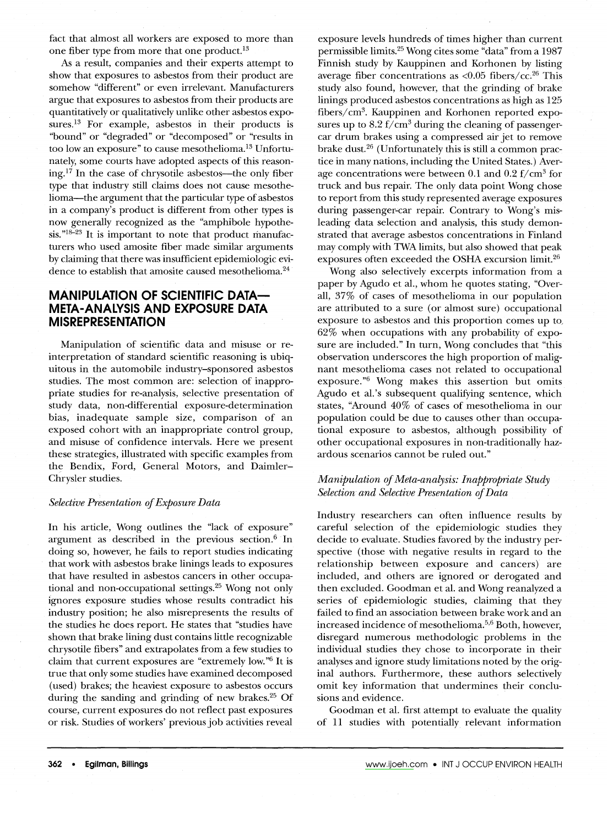fact that almost all workers are exposed to more than one fiber type from more that one product.<sup>13</sup>

As a result, companies and their experts attempt to show that exposures to asbestos from their product are somehow "different" or even irrelevant. Manufacturers argue that exposures to asbestos from their products are quantitatively or qualitatively unlike other asbestos exposures.<sup>13</sup> For example, asbestos in their products is "bound" or "degraded" or "decomposed" or "results in too low an exposure" to cause mesothelioma.<sup>13</sup> Unfortunately, some courts have adopted aspects of this reason $ing$ <sup>17</sup>. In the case of chrysotile asbestos—the only fiber type that industry still claims does not cause mesothelioma-the argument that the particular type of asbestos in a company's product is different from other types is now generally recognized as the "amphibole hypothe $sis.^{"18-23}$  It is important to note that product manufacturers who used amosite fiber made similar arguments by claiming that there was insufficient epidemiologic evidence to establish that amosite caused mesothelioma.<sup>24</sup>

## **MANIPULATION OF SCIENTIFIC DATA-META-ANALYSIS AND EXPOSURE DATA MISREPRESENTATION**

Manipulation of scientific data and misuse or reinterpretation of standard scientific reasoning is ubiquitous in the automobile industry-sponsored asbestos studies. The most common are: selection of inappropriate studies for re-analysis, selective presentation of study data, non-differential exposure-determination bias, inadequate sample size, comparison of an exposed cohort with an inappropriate control group, and misuse of confidence intervals. Here we present these strategies, illustrated with specific examples from the Bendix, Ford, General Motors, and Daimler-Chrysler studies.

#### *Selective Presentation of Exposure Data*

In his article, Wong outlines the "lack of exposure" argument as described in the previous section. $6$  In doing so, however, he fails to report studies indicating that work with asbestos brake linings leads to exposures that have resulted in asbestos cancers in other occupational and non-occupational settings.<sup>25</sup> Wong not only ignores exposure studies whose results contradict his industry position; he also misrepresents the results of the studies he does report. He states that "studies have shown that brake lining dust contains little recognizable chrysotile fibers" and extrapolates from a few studies to claim that current exposures are "extremely low."<sup>6</sup> It is true that only some studies have examined decomposed (used) brakes; the heaviest exposure to asbestos occurs during the sanding and grinding of new brakes.<sup>25</sup> Of course, current exposures do not reflect past exposures or risk. Studies of workers' previous job activities reveal

exposure levels hundreds of times higher than current permissible limits.25Wong cites some "data" from a <sup>1987</sup> Finnish study by Kauppinen and Korhonen by listing average fiber concentrations as  $\langle 0.05 \text{ fibers}/\text{cc}^{26} \text{ This} \rangle$ study also found, however, that the grinding of brake linings produced asbestos concentrations as high as 125 fibers/cm<sup>3</sup>. Kauppinen and Korhonen reported exposures up to  $8.2 \text{ f/cm}^3$  during the cleaning of passengercar drum brakes using a compressed air jet to remove brake dust.<sup>26</sup> (Unfortunately this is still a common practice in many nations, including the United States.) Average concentrations were between 0.1 and 0.2  $f/cm^3$  for truck and bus repair. The only data point Wong chose to report from this study represented average exposures during passenger-car repair. Contrary to Wong's misleading data selection and analysis, this study demonstrated that average asbestos concentrations in Finland may comply with TWAlimits, but also showed that peak exposures often exceeded the OSHA excursion limit.26

Wong also selectively excerpts information from a paper by Agudo et aI., whom he quotes stating, "Overall, 37% of cases of mesothelioma in our population are attributed to a sure (or almost sure) occupational exposure to asbestos and this proportion comes up to, 62% when occupations with any probability of exposure are included." In turn, Wong concludes that "this observation underscores the high proportion of malignant mesothelioma cases not related to occupational exposure."6 Wong makes this assertion but omits Agudo et aI.'s subsequent qualifying sentence, which states, "Around 40% of cases of mesothelioma in our population could be due to causes other than occupational exposure to asbestos, although possibility of other occupational exposures in non-traditionally hazardous scenarios cannot be ruled out."

#### *Manipulation of Meta-analysis: Inappropriate Study Selection·and Selective Presentation of Data*

Industry researchers can often influence results by careful selection of the epidemiologic studies they decide to evaluate. Studies favored by the industry perspective (those with negative results in regard to the relationship between exposure and cancers) are included, and others are ignored or derogated and then excluded. Goodman et aI. and Wong reanalyzed a series of epidemiologic studies, claiming that they failed to find an association between brake work and an increased incidence of mesothelioma.<sup>5,6</sup> Both, however, disregard numerous methodologic problems in the individual studies they chose to incorporate in their analyses and ignore study limitations noted by the original authors. Furthermore, these authors selectively omit key information that undermines their conclusions and evidence.

Goodman et aI. first attempt to evaluate the quality of 11 studies with potentially relevant information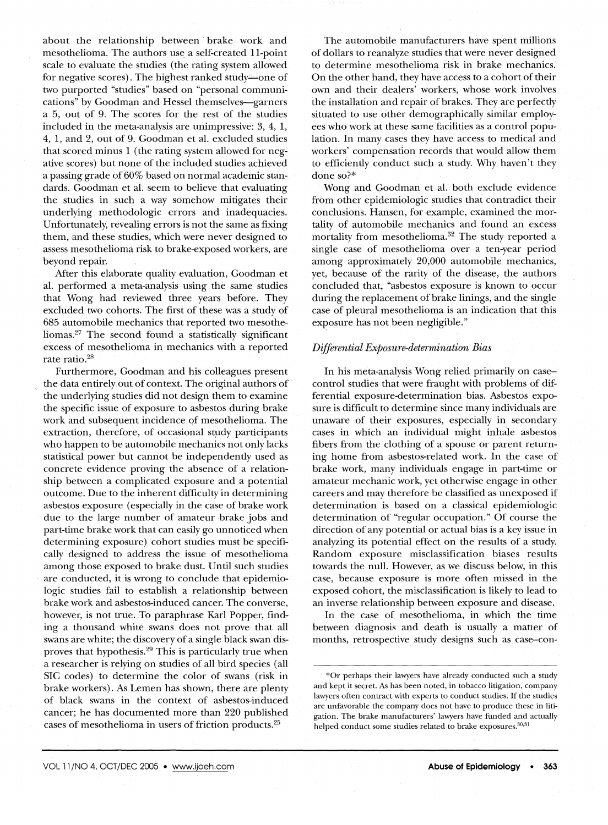about the relationship between· brake work and mesothelioma. The authors use a self-created 11-point scale to evaluate the studies (the rating system allowed for negative scores). The highest ranked study—one of two purported "studies" based on "personal communications" by Goodman and Hessel themselves-garners a 5, out of 9. The scores for the rest of the studies included in the meta-analysis are unimpressive: 3, 4, 1, 4, 1, and 2, out of 9. Goodman et al. excluded studies that scored minus 1 (the rating system allowed for negative scores) but none of the included studies achieved a passing grade of 60% based on normal academic stan~ dards. Goodman et al. seem to believe that evaluating the studies in such a way somehow mitigates their underlying methodologic errors and inadequacies. Unfortunately, revealing errors is not the same as fixing them, and these studies, which were never designed to assess mesothelioma risk to brake-exposed workers, are beyond repair.

Mter this elaborate quality evaluation, Goodman et al. performed a meta-analysis using the same studies that Wong had reviewed three years before. They excluded two cohorts. The first of these was a study of 685 automobile mechanics that reported two mesotheliomas.<sup>27</sup> The second found a statistically significant excess of mesothelioma in mechanics with a reported rate ratio.<sup>28</sup>

Furthermore, Goodman and his colleagues present the data entirely out of context. The original authors of the underlying studies did not design them to examine the specific issue of exposure to asbestos during brake work and subsequent incidence qf mesothelioma. The extraction, therefore, of occasional study participants who happen to be automobile mechanics not only lacks statistical power but cannot be independently used as concrete evidence proving the absence of a relationship between a complicated exposure and a potential outcome. Due to the inherent difficulty in determining asbestos exposure (especially in the case of brake work due to the large number of amateur brake jobs and part-time brake work that can easily go unnoticed when determining exposure) cohort studies must be specifically designed to address the issue of mesothelioma among those exposed to brake dust. Until such studies are conducted, it is wrong to conclude that epidemiologic studies fail to establish a relationship between brake work and asbestos-induced cancer. The converse, however, is not true. To paraphrase Karl Popper, finding a thousand white swans does not prove that all swans are white; the discovery of a single black swan disproves that hypothesis.<sup>29</sup> This is particularly true when a researcher is relying on studies of all bird species (all SIC codes) to determine the color of swans (risk in brake workers). As Lemen has shown, there are plenty of black swans in the context of asbestos-induced cancer; he has documented more than 220 published cases of mesothelioma in users of friction products.<sup>25</sup>

The automobile manufacturers have spent millions of dollars to reanalyze studies that were never designed to determine mesothelioma risk in brake mechanics.' On the other hand, they have access to a cohort of their own and their dealers' workers, whose work involves the installation and repair of brakes. They are perfectly situated to use other demographically similar employees who work at these same facilities as a control population. In many cases they have access to medical and workers' compensation records that would allow them to efficiently conduct such a study. Why haven't they done so?\*

Wong and Goodman et al. both. exclude evidence from other epidemiologic studies that contradict their conclusions. Hansen, for example, examined the mortality of automobile mechanics and found an excess mortality from mesothelioma.<sup>32</sup> The study reported a single case of mesothelioma over a ten-year period among approximately 20,000 automobile mechanics, yet, because of the rarity of the disease, the authors concluded that, "asbestos exposure is known to occur during the replacement of brake linings, and the single case of pleural mesothelioma is an indication that this exposure has not been negligible."

#### *Differential Exposure-determination Bias*

In his meta-analysis Wong relied primarily on casecontrol studies that were fraught with problems of differential exposure-determination bias. Asbestos exposure is difficult to determine since many individuals are unaware of their exposures, especially in secondary cases in which an individual might inhale asbestos fibers from the clothing of a spouse or parent returning home from asbestos-related work. In the case of brake work, many individuals engage in part-time or amateur mechanic work, yet otherwise engage in other careers and may therefore be classified as unexposed if determination is based on a classical epidemiologic determination of "regular occupation." Of course the direction of any potential or actual bias is a key issue in analyzing its potential effect on the results of a study. Random exposure misclassification biases results towards the null. However, as we discuss below, in this case, because exposure is more often missed in the exposed cohort, the misclassification is likely to lead to an inverse relationship between exposure and disease.

In the case of mesothelioma, in which the time between diagnosis and death is usually a matter of months, retrospective study designs such as case-con-

<sup>\*</sup>Or perhaps their lawyers have already conducted such a study and kept it secret. As has been noted, in tobacco litigation, company lawyers often contract with experts to conduct studies. If the studies are unfavorable the company does not have to produce these in litigation. The brake manufacturers' lawyers have funded and actually helped conduct some studies related to brake exposures.<sup>30,3</sup>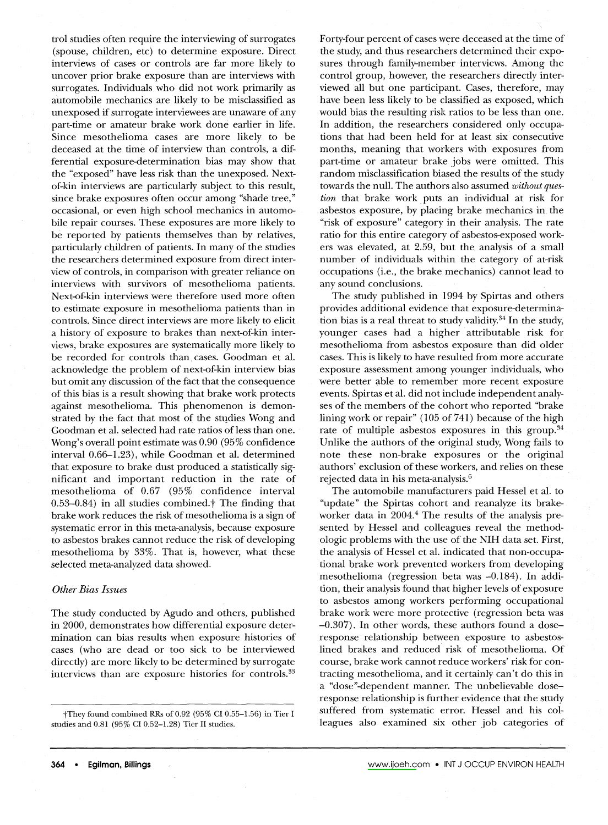trol studies often require the interviewing of surrogates (spouse, children, etc) to determine exposure. Direct interviews of cases or controls are far more likely to uncover prior brake exposure than are interviews with surrogates. Individuals who did not work primarily as automobile mechanics are likely to be misclassified as unexposed if surrogate interviewees are unaware of any part-time or amateur brake work done earlier in life. Since mesothelioma cases are more likely to be deceased at the time of interview than controls, a differential exposure-determination bias may show that the "exposed" have less risk than the unexposed. Nextof-kin interviews are particularly subject to this result, since brake exposures often occur among "shade tree," occasional, or even high school mechanics in automobile repair courses. These exposures are more likely to be reported by patients themselves than by relatives, particularly children of patients. In many of the studies the researchers determined exposure from direct interview of controls, in comparison with greater reliance on interviews with survivors of mesothelioma patients. Next-of-kin interviews were therefore used more often to estimate exposure in mesothelioma patients than in controls. Since direct interviews are more likely to elicit a history of exposure to brakes than next-of-kin interviews, brake exposures are systematically more likely to be recorded for controls than cases. Goodman et al. acknowledge the problem of next-of-kin interview bias but omit any discussion of the fact that the consequence of this bias is a result showing that brake work protects against mesothelioma. This phenomenon is demonstrated by the fact that most of the studies Wong and Goodman et al. selected had rate ratios of less than one. Wong's overall point estimate was 0.90 (95% confidence interval 0.66-1.23), while Goodman et al. determined that exposure to brake dust produced a statistically significant and important reduction in the rate of mesothelioma of 0.67 (95% confidence interval  $0.53-0.84$ ) in all studies combined.<sup>†</sup> The finding that brake work reduces the risk of mesothelioma is a sign of systematic error in this meta-analysis, because exposure to asbestos brakes cannot reduce the risk of developing mesothelioma by 33%. That is, however, what these selected meta-analyzed data showed.

#### *Other Bias Issues*

The study conducted by Agudo and others, published in 2000, demonstrates how differential exposure determination can bias results when exposure histories of cases (who are dead or too sick to be interviewed directly) are more likely to be determined by surrogate interviews than are exposure histories for controls.<sup>33</sup>

tThey found combined RRs of 0.92 (95% CI 0.55-1.56) in Tier I studies and 0.81 (95% CI 0.52-1.28) Tier II studies.

Forty-four percent of cases were deceased at the time of the study, and thus researchers determined their exposures through family-member interviews. Among the control group, however, the researchers directly interviewed all but one participant. Cases, therefore, may have been less likely to be classified as exposed, which would bias the resulting risk ratios to be less than one. In addition, the researchers considered only occupations that had been held for at least six consecutive months, meaning that workers with exposures from part·time or amateur brake jobs were omitted. This random misclassification biased the results of the study towards the null. The authors also assumed *without question* that brake work, puts an individual at risk for asbestos exposure, by placing brake mechanics in, the "risk of exposure" category in their analysis. The rate ratio for this entire category of asbestos-exposed workers was elevated, at 2.59, but the analysis of a small number of individuals within the category of at-risk occupations (i.e., the brake mechanics) cannot lead to any sound conclusions.

The study published in 1994 by Spirtas and others provides additional evidence that exposure-determination bias is a real threat to study validity. $34$  In the study, younger cases had a higher attributable risk for mesothelioma from asbestos exposure than did older cases. This is likely to have resulted from more accurate exposure assessment among younger individuals, who were better able to remember more recent exposure events. Spirtas et al. did not include independent analyses of the members of the cohort who reported "brake lining work or repair" (105 of 741) because of the high rate of multiple asbestos exposures in this group.<sup>34</sup> Unlike the authors of the original study, Wong fails to note these non-brake exposures or the original authors' exclusion of these workers, and relies on these rejected data in his meta-analysis.<sup>6</sup>

The automobile manufacturers paid Hessel et al. to "update" the Spirtas cohort and reanalyze its brakeworker data in 2004.4 The results of the analysis presented by Hessel and colleagues reveal the methodologic problems with the use of the NIH data set. First, the analysis of Hessel et al. indicated that non-occupational brake work prevented workers from· developing mesothelioma (regression beta was -0.184). In addition, their analysis found that higher levels of exposure to asbestos among workers performing occupational brake work were more protective (regression beta was -0.307). In other words, these authors found a doseresponse relationship between exposure to asbestoslined brakes and reduced risk of mesothelioma. Of course, brake work cannot reduce workers' risk for contracting mesothelioma, and it certainly can't do this in a "dose"-dependent manner. The unbelievable doseresponse relationship is further evidence that the study suffered from systematic error. Hessel and his colleagues also examined six other job categories of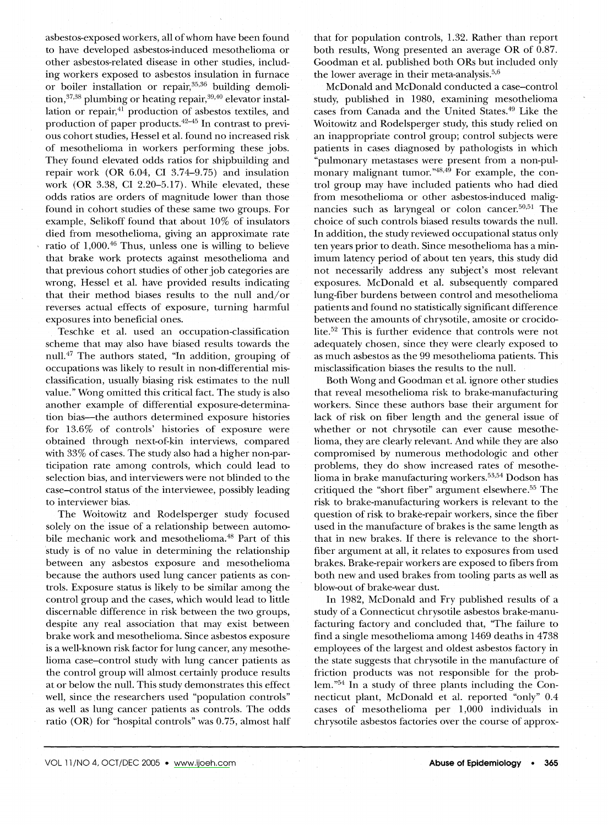asbestos-exposed workers, all of whom have been found to have developed asbestos-induced mesothelioma or other asbestos-related disease in other studies, including workers exposed to asbestos insulation in furnace or boiler installation or repair,<sup>35,36</sup> building demolition,  $37,38$  plumbing or heating repair,  $39,40$  elevator installation or repair,<sup>41</sup> production of asbestos textiles, and production of paper products.<sup>42–45</sup> In contrast to previous cohort studies, Hessel et al. found no increased risk of mesothelioma in workers performing these jobs. They found elevated odds ratios for shipbuilding and repair work (OR 6.04, CI 3.74-9.75) and insulation work (OR 3.38, CI 2.20-5.17). While elevated, these odds ratios are orders of magnitude lower than those found in cohort studies of these same two groups. For example, Selikoff found that about 10% of insulators died from mesothelioma, giving an approximate rate ratio of  $1,000$ .<sup>46</sup> Thus, unless one is willing to believe that brake work protects against mesothelioma and that previous cohort studies of other job categories are wrong, Hessel et al. have provided results indicating that their method biases results to the null and/or reverses actual effects of exposure, turning harmful exposures into beneficial ones.

Teschke et al. used an occupation-classification scheme that may also have biased results towards the null.47 The authors stated, "In addition, grouping of occupations was likely to result in non-differential misclassification, usually biasing risk estimates to the null value." Wong omitted this critical fact. The study is also another example of differential exposure-determination bias-the authors determined exposure histories for 13.6% of controls' histories of exposure were obtained through next-of-kin interviews, compared with 33% of cases. The study also had a higher non-participation rate among controls, which could lead to selection bias, and interviewers were not blinded to the case-control status of the interviewee, possibly leading to interviewer bias.

Published by Maney Publishing (c) W. S. Maney & Son Limited

The Woitowitz and Rodelsperger study focused solely on the issue of a relationship between automobile mechanic work and mesothelioma.<sup>48</sup> Part of this 'study is of no value in determining the relationship between any asbestos exposure and mesothelioma because the authors used lung cancer patients as controls. Exposure status is likely to be similar among the control group and the cases, which would lead to little discernable difference in risk between the two groups, despite any real association that may exist between brake work and mesothelioma. Since asbestos exposure is a well-known risk factor for lung cancer, any mesothelioma case-control study with lung cancer patients as the control group will almost certainly produce results at or below the null. This study demonstrates this effect well, since, the researchers used "population controls" as well as lung cancer patients as controls. The odds ratio (OR) for "hospital controls" was 0.75, almost half that for population controls, 1.32. Rather than report both results, Wong presented an average OR of 0.87. Goodman et al. published both ORs but included only the lower average in their meta-analysis.<sup>5,6</sup>

McDonald and McDonald conducted a case-control study, published in 1980, examining mesothelioma cases from Canada and the United States.<sup>49</sup> Like the Woitowitz and Rodelsperger study, this study relied on an inappropriate control group; control subjects were patients in cases diagnosed by pathologists in which "pulmonary metastases were present from a non-pulmonary malignant tumor." $48,49$  For example, the control group may have included patients who had died from mesothelioma or other asbestos-induced malignancies such as laryngeal or colon cancer.<sup>50,51</sup> The choice of such controls biased results towards the null. In addition, the study reviewed occupational status only ten years prior to death. Since mesothelioma has a minimum latency period of about ten years, this study did not necessarily address any subject's most relevant exposures. McDonald et al. subsequently compared lung-fiber burdens between control and mesothelioma patients and found no statistically significant difference between the amounts of chrysotile, amosite or crocidolite.52 This is further evidence that controls were not adequately chosen, since they were clearly exposed to as much asbestos as the 99 mesothelioma patients. This misclassification biases the results to the null.

Both Wong and Goodman et al. ignore other studies that reveal mesothelioma risk to brake-manufacturing workers. Since these authors base their argument for lack of risk on fiber length and the general issue of whether or not chrysotile can ever cause mesothelioma, they are clearly relevant. And while they are also compromised by numerous methodologic and other problems, they do show increased rates of mesothelioma in brake manufacturing workers.<sup>53,54</sup> Dodson has critiqued the "short fiber" argument elsewhere.<sup>55</sup> The risk to brake-manufacturing workers is relevant to the question of risk to brake-repair workers, since the fiber used in the manufacture of brakes is the same length as that in new brakes. If there is relevance to the shortfiber argument at all, it relates to exposures from used brakes. Brake-repair workers are exposed to fibers from both new and used brakes from tooling parts as well as blow-out of brake-wear dust.

In 1982, McDonald and Fry published results of a study of a Connecticut chrysotile asbestos brake-manufacturing factory and concluded that, "The failure to find a single mesothelioma among 1469 deaths in 4738 employees of the largest and oldest asbestos factory in the state suggests that chrysotile in the manufacture of friction products was not responsible for the problem.<sup>"54</sup> In a study of three plants including the Connecticut plant, McDonald et al. reported "only" 0.4 cases of mesothelioma per 1,000 individuals in chrysotile asbestos factories over the course of approx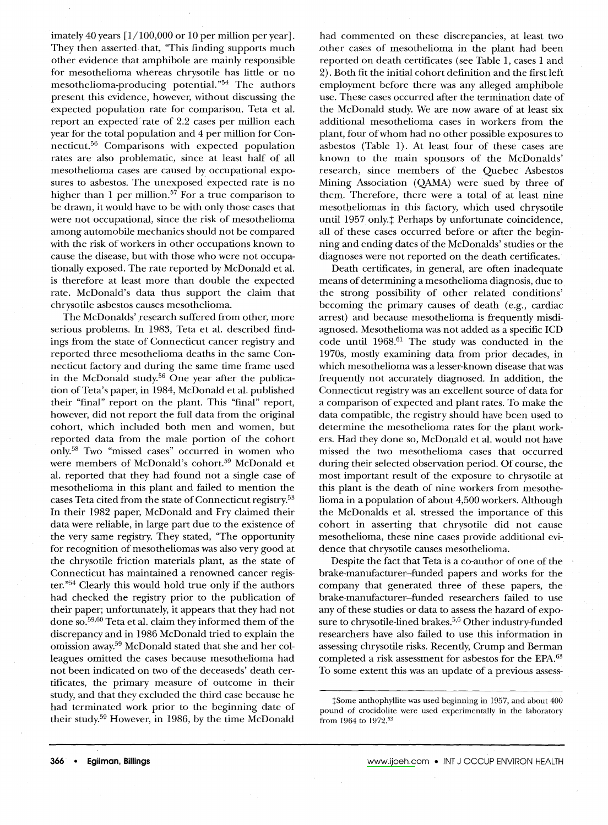imately 40 years [1/100,000 or 10 per million per year]. They then asserted that, "This finding supports much other evidence that amphibole are mainly responsible for mesothelioma whereas chrysotile has little or no mesothelioma-producing potential. "54 The authors present this evidence, however, without discussing the expected population rate for comparison. Teta et al. report an expected'rate of 2.2 cases per million each year for the total population and 4 per million for Connecticut.56 Comparisons with expected population rates are also problematic, since at least half of all mesothelioma cases are caused by occupational exposures to asbestos. The unexposed expected rate is no higher than 1 per million.<sup>57</sup> For a true comparison to be drawn, it would have to be with only those cases that were not occupational, since the risk of mesothelioma among automobile mechanics should not be compared with the risk of workers in other occupations known to cause the disease, but with those who were not occupationally exposed. The rate reported by McDonald et al. is therefore at least more than double the expected rate. McDonald's data thus support the claim that chrysotile asbestos causes mesothelioma.

The McDonalds' research suffered from other, more serious problems. In 1983, Teta et al. described findings from the state of Connecticut cancer registry and reported three mesothelioma deaths in the same Connecticut factory and during the same time frame used in the McDonald study.<sup>56</sup> One year after the publication of Teta's paper, in 1984, McDonald et al. published their "final" report on the plant. This "final" report, however, did not report the full data from the original cohort, which included both men and women, but reported data from the male portion of the cohort only.58 Two "missed cases" occurred in women who were members of McDonald's cohort.<sup>59</sup> McDonald et al. reported that they had found not a single case of mesothelioma in this plant and failed to mention the cases Teta cited from the state of Connecticut registry.53 In their 1982 paper, McDonald and Fry claimed their data were reliable, in large part due to the existence of the very same registry. They stated, "The opportunity for recognition of mesotheliomas was also very good at the chrysotile friction materials plant, as the state of Connecticut has maintained a renowned cancer register."<sup>54</sup> Clearly this would hold true only if the authors had checked the registry prior to the publication of their paper; unfortunately, it appears that they had not done so.<sup>59,60</sup> Teta et al. claim they informed them of the discrepancy and in 1986 McDonald tried to explain the omission away.<sup>59</sup> McDonald stated that she and her colleagues omitted the cases because mesothelioma had not been indicated on two of the deceaseds' death certificates, the primary measure of outcome in their study, and that they excluded the third case because he had. terminated work prior to the beginning date of their study.<sup>59</sup> However, in 1986, by the time McDonald

had commented on these discrepancies, at least two .other cases of mesothelioma in the plant had been reported on death certificates (see Table 1, cases 1 and 2). Both fit the initial cohort definition and the first left employment before there was any alleged amphibole use. These cases occurred after the termination date of the McDonald study. We are now aware of at least six additional mesothelioma cases in workers from the plant, four of whom had no other possible-exposures to asbestos (Table 1). At least four of these cases are known to the main sponsors of the McDonalds' research, since members of the Quebec Asbestos Mining Association (QAMA) were sued by three of them. Therefore, there were a total of at least nine mesotheliomas in this factory, which used chrysotile until 1957 only.<sup>†</sup> Perhaps by unfortunate coincidence, all of these cases occurred before or after the beginning and ending dates of the McDonalds' studies or the diagnoses were not reported on the death certificates.

Death certificates, in general, are often inadequate means of determining a mesothelioma diagnosis, due to the strong possibility of other related conditions' becoming the primary causes of death (e.g., cardiac arrest) and because mesothelioma is frequently misdiagnosed. Mesothelioma was not added as a specific ICD code until  $1968$ .<sup>61</sup> The study was conducted in the 1970s, mostly examining data from prior decades, in which mesothelioma was a lesser-known disease that was frequently not accurately diagnosed. In addition, the Connecticut registry was an excellent source of data for a comparison of expected and plant rates. To make the data compatible, the registry should have been used to determine the mesothelioma rates for the plant workers. Had they done so, McDonald et al. would not have missed the two mesothelioma cases that occurred during their selected observation period. Of course, the most important result of the exposure to chrysotile at this plant is the death of nine workers from mesothelioma in a population of about 4,500 workers. Although the McDonalds et al. stressed the importance of this cohort in asserting that chrysotile did not cause mesothelioma, these nine cases provide additional evidence that chrysotile causes mesothelioma.

Despite the fact that Teta is a co-author of one of the brake-manufacturer-funded papers and works for the company that generated three of these papers, the brake-manufacturer-funded researchers failed to use any of these studies or data to assess the hazard of exposure to chrysotile-lined brakes.<sup>5,6</sup> Other industry-funded researchers have also failed to use this information in assessing chrysotile risks. Recently, Crump and Berman completed a risk assessment for asbestos for the EPA.63 To some extent this was an update of a previous assess-

tSome anthophyllite was used beginning in 1957, and about 400 pound of crocidolite were used experimentally in the laboratory from 1964 to 1972.<sup>53</sup>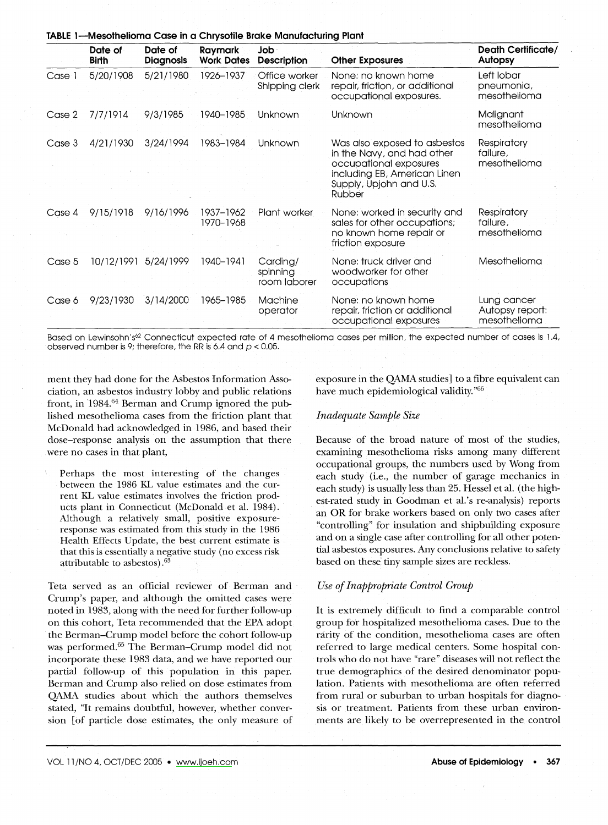|        | Date of<br><b>Birth</b> | Date of<br><b>Diagnosis</b> | Raymark<br><b>Work Dates</b> | Job<br><b>Description</b>            | <b>Other Exposures</b>                                                                                                                                    | <b>Death Certificate/</b><br>Autopsy           |
|--------|-------------------------|-----------------------------|------------------------------|--------------------------------------|-----------------------------------------------------------------------------------------------------------------------------------------------------------|------------------------------------------------|
| Case 1 | 5/20/1908               | 5/21/1980                   | 1926-1937                    | Office worker<br>Shipping clerk      | None: no known home<br>repair, friction, or additional<br>occupational exposures.                                                                         | Left lobar<br>pneumonia,<br>mesothelioma       |
| Case 2 | 7/7/1914                | 9/3/1985                    | 1940-1985                    | Unknown                              | Unknown                                                                                                                                                   | Malignant<br>mesothelioma                      |
| Case 3 | 4/21/1930               | 3/24/1994                   | 1983-1984                    | Unknown                              | Was also exposed to asbestos<br>in the Navy, and had other<br>occupational exposures<br>including EB, American Linen<br>Supply, Upjohn and U.S.<br>Rubber | Respiratory<br>failure,<br>mesothelioma        |
| Case 4 | 9/15/1918               | 9/16/1996                   | 1937–1962<br>1970-1968       | Plant worker                         | None: worked in security and<br>sales for other occupations;<br>no known home repair or<br>friction exposure                                              | <b>Respiratory</b><br>failure,<br>mesothelioma |
| Case 5 | 10/12/1991              | 5/24/1999                   | 1940-1941                    | Carding/<br>spinning<br>room laborer | None: truck driver and<br>woodworker for other<br>occupations                                                                                             | Mesothelioma                                   |
| Case 6 | 9/23/1930               | 3/14/2000                   | 1965–1985                    | Machine<br>operator                  | None: no known home<br>repair, friction or additional<br>occupational exposures                                                                           | Lung cancer<br>Autopsy report:<br>mesothelioma |

Based on Lewinsohn's<sup>62</sup> Connecticut expected rate of 4 mesothelioma cases per million, the expected number of cases is 1.4, observed number is 9; therefore *<sup>1</sup>* the RRis 6.4 and *p* < 0,05,

ment they had done for the Asbestos Information Association, an asbestos industry lobby and public relations front, in 1984.<sup>64</sup> Berman and Crump ignored the published mesothelioma cases from the friction plant that McDonald had acknowledged in 1986, and based their dose-response analysis on the assumption that there were no cases in that plant,

**TABLEl-Mesothelioma Case in a Chrysotite Brake Manufacturing Plant**

Perhaps the most interesting of the changes between the 1986 KL value estimates and the current KL value estimates involves the friction products plant in Connecticut (McDonald et al. 1984). Although a relatively small, positive exposureresponse was estimated from this study in the 1986 Health Effects Update, the best current estimate is that this is essentially a negative study (no excess risk attributable to asbestos).63

Teta served as an official reviewer of Berman and Crump's paper, and although the omitted cases were noted in 1983, along with the need for further follow-up on this cohort, Teta recommended that the EPA adopt the Berman-Crump model before the cohort follow-up was performed.<sup>65</sup> The Berman-Crump model did not incorporate these 1983 data, and we have reported our partial follow-up of this population in this paper. Berman and Crump also relied on dose estimates from QAMA studies about which the authors themselves stated, "It remains doubtful, however, whether conversion [of particle dose estimates, the only measure of exposure in the QAMA studies] to a fibre equivalent can have much epidemiological validity."66

#### *Inadequate Sample Size*

Because of the broad nature of most of the studies, examining· mesothelioma risks among many different occupational groups, the numbers used by Wong from each study (i.e., the number of garage mechanics in each study) is usually less than 25. Hessel et al. (the highest-rated study in Goodman et al.'s re-analysis) reports an OR for brake workers based on only two cases after "controlling" for insulation and shipbuilding exposure and on a single case after controlling for all other potential asbestos exposures. Any conclusions relative to safety based on these tiny sample sizes are reckless.

#### *Use of Inappropriate Control Group*

It is extremely difficult to find a comparable control group fo'r hospitalized mesothelioma cases. Due to the rarity of the condition, mesothelioma cases are often referred to large medical centers. Some hospital controls who do not have "rare" diseases will not reflect the true demographics of the desired denominator population. Patients with mesothelioma are often referred from rural or suburban to urban hospitals for diagnosis or treatment. Patients from these urban environments are likely to be overrepresented in the control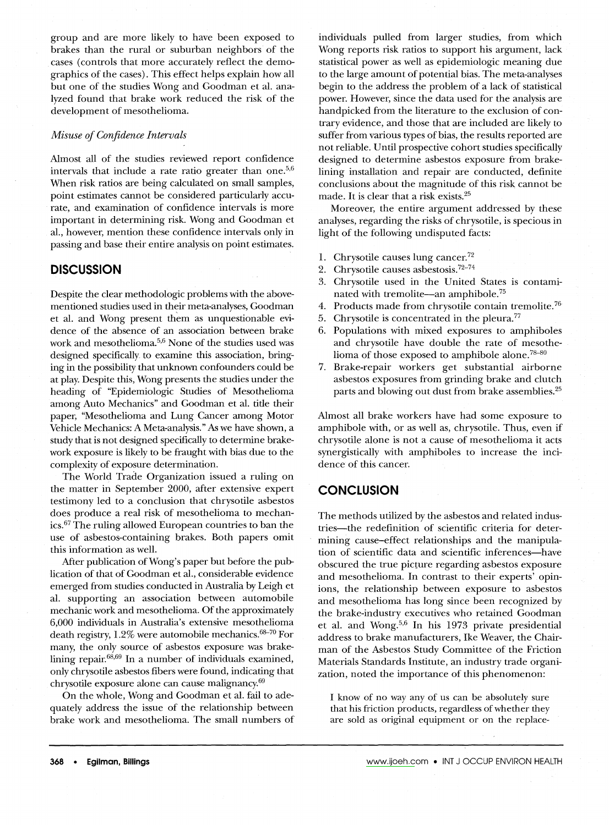group and are more likely to have been exposed to brakes than the rural or suburban neighbors' of the cases (controls that more accurately reflect the demographics of the cases). This effect helps explain how all but one of the studies Wong and Goodman et al. analyzed found that brake work reduced the risk of the development of mesothelioma.

#### *Misuse of Confidence Intervals*

Almost all of the studies reviewed report confidence intervals that include a rate ratio greater than one. $5,6$ When risk ratios are being calculated on small samples, point estimates cannot be considered particularly accurate, and examination of confidence intervals is more important in determining risk. Wong and Goodman et aI., however, mention these confidence intervals only in passing and base their entire analysis on point estimates.

#### **DISCUSSION**

Despite the clear methodologic problems with the abovementioned studies used in their meta-analyses, Goodman et al. and Wong present them as unquestionable evidence of the absence of an association between brake work and mesothelioma.5,6 None of the studies used was designed specifically to examine this association, bringing in the possibility that unknown confounders could be at play. Despite this, Wong presents the studies under the heading of "Epidemiologic Studies of Mesothelioma among Auto Mechanics" and Goodman et al. title their paper, "Mesothelioma and Lung· Cancer among Motor Vehicle Mechanics: A Meta-analysis."As we have shown, a study that is not designed specifically to determine brakework exposure is likely to be fraught with bias due to the complexity of exposure determination.

The World Trade Organization issued a ruling. on the matter in September 2000, after extensive expert testimony led to a conclusion that chrysotile asbestos does produce a real risk of mesothelioma to mechanics.67The ruling allowed European countries to ban the use of asbestos-containing brakes. Both papers omit this information as well.

*Mter* publication of Wong's paper but before the publication of that of Goodman et al., considerable evidence emerged from studies conducted in Australia by Leigh et al. supporting an association between automobile mechanic work and mesothelioma. Of the approximately 6,000 individuals in Australia's extensive mesothelioma death registry, 1.2% were automobile mechanics.<sup>68-70</sup> For many, the only source of asbestos exposure was brakelining repair. $68,69$  In a number of individuals examined, only chrysotile asbestos fibers were found, indicating that chrysotile exposure alone can cause malignancy.69

On the whole, Wong and Goodman et al. fail to adequately address the issue of the relationship between brake work and mesothelioma. The small numbers of individuals pulled from larger studies, from which Wong reports risk ratios to support his argument, lack statistical power as well as epidemiologic meaning due to the large amount of potential bias. The meta-analyses begin to the address the problem of a lack of statistical power. However, since the data used for the analysis are handpicked from the literature to the exclusion of contrary evidence, and those that are included are likely to suffer from various types of bias, the results reported are not reliable. Until prospective cohort studies specifically designed to determine asbestos exposure from brakelining installation and repair are conducted, definite conclusions about the magnitude of this risk cannot be made. It is clear that a risk exists.<sup>25</sup>

Moreover, the entire argument addressed by these analyses, regarding the risks of chrysotile, is specious in light of the following undisputed facts:

- 1. Chrysotile causes lung cancer.72
- 2. Chrysotile causes asbestosis.<sup>72-74</sup>
- 3. Chrysotile used in the United States is contaminated with tremolite—an amphibole.<sup>75</sup>
- 4. Products made from chrysotile contain tremolite.76'
- 5. Chrysotile is concentrated in the pleura.<sup>77</sup>
- 6. Populations with mixed exposures to amphiboles and chrysotile have double the rate of mesothelioma of those exposed to amphibole alone.<sup>78-80</sup>
- 7. Brake-repair workers get substantial airborne asbestos exposures from grinding brake and clutch parts and blowing out dust from brake assemblies.<sup>25</sup>

Almost all brake workers have had some exposure to amphibole with, or as well as, chrysotile. Thus, even if chrysotile alone is not a cause of mesothelioma it acts synergistically with amphiboles to increase the incidence of this cancer.

#### **CONCLUSION**

The methods utilized by the asbestos and related industries-the redefinition of scientific criteria for determining cause-effect relationships and the manipulation of scientific data and scientific inferences-have obscured the true picture regarding asbestos exposure and mesothelioma. In contrast to their experts' opinions, the relationship between exposure to asbestos and mesothelioma has long since been recognized by the brake-industry executives who retained Goodman et al. and Wong.<sup>5,6</sup> In his 1973 private presidentia address to brake manufacturers, Ike Weaver, the Chairman of the Asbestos Study Committee of the Friction Materials Standards Institute, an industry trade organization, noted the importance of this phenomenon:

I know of no way any of us can be absolutely sure that his friction products, regardless of whether they are sold as original equipment or on the replace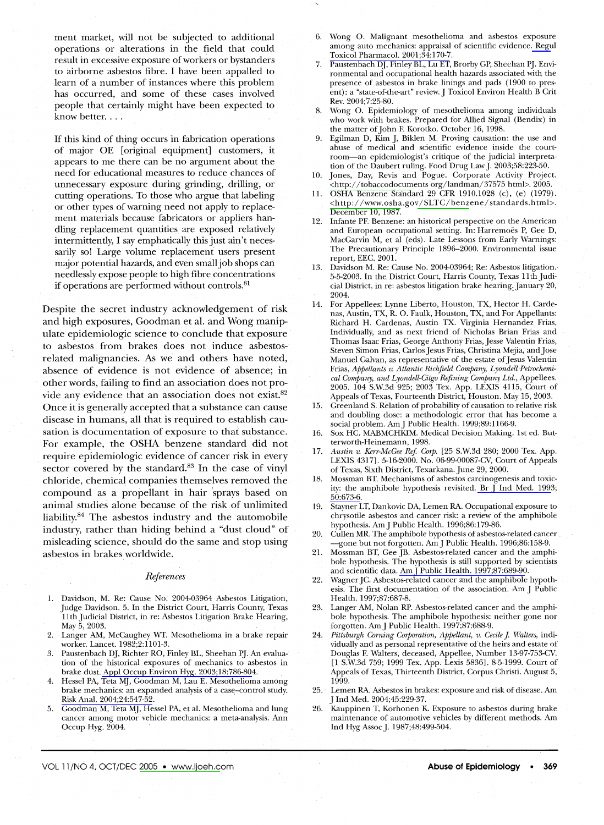ment market, will not be subjected to additional operations or alterations in the field that could result in excessive exposure of workers or bystanders to airborne asbestos fibre. I have been appalled to learn of a number of instances where this problem has occurred, and some of these cases involved people that certainly might have been expected to know better....

If this kind of thing occurs in fabrication operations of major OE [original equipment] customers, it appears to me there can be no argument about the need for educational measures to reduce chances of unnecessary exposure during grinding, drilling, or cutting operations. To those who argue that labeling or other types of warning need not apply to replacement materials because fabricators or appliers handling replacement quantities are exposed relatively intermittently, I say emphatically this just ain't necessarily so! Large volume replacement users present major potential hazards, and even small job shops can needlesslyexpose people to high fibre concentrations if operations are performed without controls.<sup>81</sup>

Despite the secret industry acknowledgement of risk and high exposures, Goodman et al. and Wong manipulate epidemiologic science to conclude that exposure to asbestos from brakes does not induce asbestosrelated malignancies. As we and others have noted, absence of evidence is not evidence of absence; in other words, failing to find an association does not provide any evidence that an association does not exist.<sup>82</sup> Once it is generally accepted that a substance can cause disease in humans, all that is required to establish causation is documentation of exposure to that substance. For example, the OSHA benzene standard did not require epidemiologic evidence of cancer risk in every sector covered by the standard.<sup>83</sup> In the case of vinyl chloride, chemical companies themselves removed the compound as a propellant in hair sprays based on animal studies alone because of the risk of unlimited liability. $84$  The asbestos industry and the automobile industry, rather than hiding behind a "dust cloud" of misleading science, should do the same and stop using asbestos in brakes worldwide.

Published by Maney Publishing (c) W. S. Maney & Son Limited

#### *References*

- 1. Davidson, M. Re: Cause No. 2004-03964 Asbestos Litigation, Judge Davidson. 5. In the District Court, Harris County, Texas 11th Judicial District, in re: Asbestos Litigation Brake Hearing, May 5, 2003.
- 2. Langer AM, McCaughey WT. Mesothelioma in a brake repair worker. Lancet. 1982;2:1101-3.
- 3. Paustenbach DJ, Richter RO, Finley BL, Sheehan PJ. An evaluation of the historical exposures of mechanics to asbestos in brake dust. [Appl Occup Environ Hyg. 2003;18:786-804](http://www.ingentaconnect.com/content/external-references?article=1047-322x(2003)18L.786[aid=9906561]).
- 4. Hessel PA, Teta MJ, Goodman M, Lau E. Mesothelioma among brake mechanics: an expanded analysis of a case-control study. [Risk Anal. 2004;24:547-52.](http://www.ingentaconnect.com/content/external-references?article=0272-4332(2004)24L.547[aid=9820085])
- 5. Goodman M, Teta MJ, Hessel PA, et al. Mesothelioma and lung cancer among motor vehicle mechanics: a meta-analysis. Ann Occup Hyg. 2004.
- 6. Wong O. Malignant mesothelioma and asbestos exposure among auto mechanics: appraisal of scientific evidence. [Regu](http://www.ingentaconnect.com/content/external-references?article=0273-2300(2001)34L.170[aid=2674919])l [Toxicol Pharmacol. 2001;34:170-7.](http://www.ingentaconnect.com/content/external-references?article=0273-2300(2001)34L.170[aid=2674919])
- Paustenbach DJ, Finley BL, Lu ET, Brorby GP, Sheehan PJ. Environmental and occupational health hazards associated with the presence of asbestos in brake linings and pads (1900 to present): a "state-of-the-art" review. J Toxicol Environ Health B Crit Rev. 2004;7:25-80.
- 8. Wong O. Epidemiology of mesothelioma among individuals who work with brakes. Prepared for Allied Signal (Bendix) in the matter of John F. Korotko. October 16, 1998.
- 9. Egilman D, Kim J, B'iklen M. Proving causation: the use and abuse of medical and scientific evidence inside the courtroom-an epidemiologist's critique of the judicial interpretation of the Daubert ruling. Food Drug Law]' 2003;58:223-50.
- 10. Jones, Day, Revis and Pogue. Corporate Activity Projec [<http://tobaccodocuments](http://tobaccodocuments) org/landman/37575 htmb. 2005.
- 11. OSHA Benzene Standard 29 CFR 1910.1028 (c), (e) (1979). <http://www.osha.gov/SLTC/benzene/standards.html>. December 10, 1987.
- 12. Infante PF. Benzene: an historical perspective on the American and European occupational setting. In: Harremoes P, Gee D, MacGarvin M, et al (eds). Late Lessons from Early Warnings: The Precautionary Principle 1896-2000. Environmental issue report, EEC. 2001.
- 13. Davidson M. Re: Cause No. 2004-03964; Re: Asbestos litigation., 5-5-2003. In the District Court, Harris County, Texas 11th Judicial District, in re: asbestos litigation brake hearing. January 20,  $2004.$
- 14. For Appellees: Lynne Liberto, Houston, TX, Hector H. Cardenas, Austin, TX, R. O. Faulk, Houston, TX, and For Appellants: Richard H. Cardenas, Austin TX. Virginia Hernandez Frias, Individually, and as next friend of Nicholas Brian Frias and Thomas Isaac Frias, George Anthony Frias, Jesse Valentin Frias, Steven Simon Frias, Carlos Jesus Frias, Christina Mejia, and Jose Manuel Galvan, as representative of the estate of Jesus Valentin Frias, *Appellants v. Atlantic Richfield Company, Lyondell Petrochemical Company, and Lyondell-Citgo Refining Company Ltd.,* Appellees. 2005. 104 S.W.3d 925; 2003 Tex. App. LEXIS 4115, Court of Appeals of Texas, Fourteenth District, Houston. May 15, 2003.
- 15. Greenland S. Relation of probability of causation to relative risk and doubling dose: a methodologic error that has become a social problem. Am J Public Health. 1999;89:1166-9.
- 16. Sox HC. MABMCHKIM. Medical Decision Making. 1st ed. Butterworth-Heinemann,1998.
- *17. Austin v. Kerr-McGee Ref Corp.* [25 S.W.3d 280; 2000 Tex. App. LEXIS 4317].5-16-2000. No. 06-99-00087-CV, Court of Appeals of Texas, Sixth District, Texarkana. June 29, 2000.
- 18. Mossman BT. Mechanisms of asbestos carcinogenesis and toxicity: the amphibole hypothesis revisited. Br  $\overrightarrow{I}$  Ind Med. 1993; [50:673-6.](http://www.ingentaconnect.com/content/external-references?article=0007-1072(1993)50L.673[aid=9908034])
- 19. Stayner LT, Dankovic DA, Lemen RA. Occupational exposure to chrysotile asbestos and cancer risk: a review of the amphibole hypothesis. AmJ Public Health. 1996;86:179-86.
- 20. Cullen MR. The amphibole hypothesis of asbestos-related cancer -gone but not forgotten. AmJ Public Health. 1996;86:158-9.
- 21. Mossman BT, Gee JB. Asbestos-related cancer and the amphibole hypothesis. The hypothesis is still supported by scientists and scientific data. Am J Public Health. 1997;87:689-90.
- 22. Wagner JC. Asbestos-related cancer and the amphibole hypothesis. The first documentation of the association. Am J Public Health. 1997;87:687-8.
- 23. Langer AM, Nolan RP. Asbestos-related cancer and the amphibole hypothesis. The amphibole hypothesis: neither gone nor forgotten. Am J Public Health. 1997;87:688-9.
- 24. Pittsburgh Corning Corporation, Appellant, v. Cecile J. Walters, individually and as personal representative of the heirs and estate of Douglas F. Walters, deceased, Appellee, Number 13-97-753-CV. [l S.W.3d 759; 1999 Tex. App. Lexis 5836]. 8-5-1999. Court of Appeals of Texas, Thirteenth District, Corpus Christi. August 5, 1999.
- 25. Lemen RA. Asbestos in brakes: exposure and risk of disease. Am J Ind Med. 2004;45:229-37.
- 26. Kauppinen T, Korhonen K. Exposure to asbestos during brake maintenance of automotive vehicles by different methods. Am Ind Hyg Assoc J. 1987;48:499-504.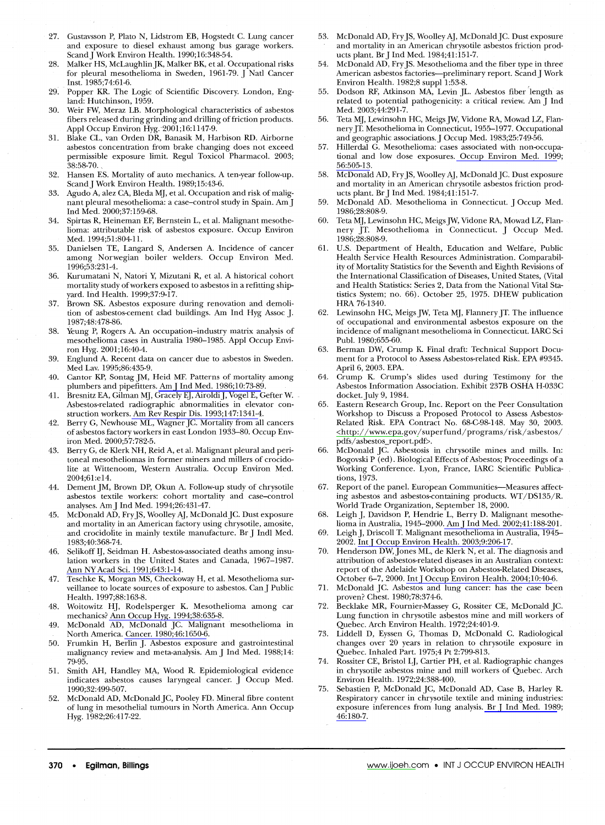- 27. Gustavsson P, Plato N, Lidstrom EB, Hogstedt C. Lung cancer and exposure to diesel exhaust among bus garage workers. Scand J Work Environ Health. 1990;16:348-54.
- 28. Malker HS, McLaughlin JK, Malker BK, et al. Occupational risks for pleural mesothelioma in Sweden, 1961-79. J Natl Cancer lnst. 1985;74:61-6.
- 29. Popper KR. The Logic of Scientific Discovery. London, England: Hutchinson, 1959.
- 30. Weir FW, Meraz LB. Morphological characteristics of asbestos fibers released during grinding and drilling of friction products. Appl Occup Environ Hyg.-2001;16:1147-9.
- 31. Blake CL, van Orden DR, Banasik M, Harbison RD. Airborne asbestos concentration from brake changing does not exceed permissible exposure limit. Regul Toxicol Pharmacol. 2003;  $38:58-70.$
- 32. Hansen ES. Mortality of auto mechanics. A ten-year follow-up. ScandJ Work Environ Health. 1989;15:43-6.
- 33. Agudo A, alez CA, BIeda MJ, et al. Occupation and risk of malignant pleural mesothelioma: a case-control study in Spain. Am J lnd Med. 2000;37:159-68.
- 34. Spirtas R, Heineman EF, Bernstein L, et al. Malignant mesothelioma: attributable risk of asbestos exposure. Occup Environ Med. 1994;51:804-11.
- 35. Danielsen TE, Langard S, Andersen A. Incidence of cancer among Norwegian boiler welders. Occup Environ Med. 1996;53:231-4.
- 36. Kurumatani N, Natori Y; Mizutani R, et al. A historical cohort mortality study of workers exposed to asbestos in a refitting shipyard. lnd Health. 1999;37:9-17.
- 37. Brown SK. Asbestos exposure during renovation and demolition of asbestos-cement clad buildings. Am Ind Hyg Assoc J. 1987;48:478-86.
- 38. Yeung P, Rogers A. An occupation-industry matrix analysis of mesothelioma cases in Australia 1980-1985. Appl Occup Environ Hyg. 2001;16:40-4.
- 39. Englund A. Recent data on cancer due to asbestos in Sweden. Med Lav. 1995;86:435-9.
- 40. Cantor KP, Sontag JM, Heid MF. Patterns of mortality among plumbers and pipefitters. [AmJ Ind Med. 1986;10:73-89](http://www.ingentaconnect.com/content/external-references?article=0271-3586(1986)10L.73[aid=9908047]).
- 41. Bresnitz EA, Gilman MJ, Gracely EJ, AiroldiJ, Vogel E, Gefter W. Asbestos-related radiographic abnormalities in elevator construction workers. [Am Rev Respir Dis. 1993;147:1341-4](http://www.ingentaconnect.com/content/external-references?article=0003-0805(1993)147L.1341[aid=9908046]).
- 42. Berry G, Newhouse ML, Wagner JC. Mortality from all cancers of asbestos factory workers in east London 1933-80. Occup Environ Med. 2000;57:782-5.
- 43. Berry G, de Klerk NH, Reid A, et al. Malignant pleural and peritoneal mesotheliomas in former miners and millers of crocidolite at Wittenoom, Western Australia. Occup Environ Med. 2004;61:e14.
- 44. Dement JM, Brown DP, Okun A. Follow-up study of chrysotile asbestos textile workers: cohort mortality and case-control analyses. AmJ lnd Med. 1994;26:431-47.
- 45. McDonald AD, Fry JS, Woolley AJ, McDonald JC. Dust exposure and mortality in an American factory using chrysotile, amosite, and crocidolite in mainly textile manufacture. Br J Indl Med. 1983;40:368-74.
- 46. Selikoff IJ, Seidman H. Asbestos-associated deaths among insulation workers in the United States and Canada, 1967-1987. [Ann NY Acad Sci. 1991;643:1-14.](http://www.ingentaconnect.com/content/external-references?article=0077-8923(1991)643L.1[aid=2451881])
- 47. Teschke K, Morgan MS, Checkoway H, et al. Mesothelioma surveillanae to locate sources of exposure to asbestos. Can J Public Health. 1997;88:163-8.
- 48. Woitowitz HJ, Rodelsperger K. Mesothelioma among car mechanics? [Ann Occup Hyg. 1994;38:635-8.](http://www.ingentaconnect.com/content/external-references?article=0003-4878(1994)38L.635[aid=2451893])
- 49. McDonald AD, McDonald JC. Malignant mesothelioma in North America. [Cancer. 1980;46:1650-6.](http://www.ingentaconnect.com/content/external-references?article=0008-543x(1980)46L.1650[aid=5398396])
- 50. Frumkin H, Berlin J. Asbestos exposure and gastrointestinal malignancy review and meta-analysis. Am J Ind Med. 1988; 14: 79-95.
- 51. Smith AH, Handley MA, Wood R. Epidemiological evidence indicates asbestos causes laryngeal cancer. J Occup Med. 1990;32:499-507.
- 52. McDonald AD, McDonald JC, Pooley FD. Mineral fibre content of lung in mesothelial tumours in North America. Ann Occup Hyg. 1982;26:417-22.
- 53. McDonald AD, Fry JS, Woolley AJ, McDonald JC. Dust exposure and mortality in an American chrysotile. asbestos friction products plant. Br J Ind Med. 1984;41:151-7.
- 54. McDonald AD, Fry JS. Mesothelioma and the fiber type in three American asbestos factories-preliminary report. Scand J Work Environ Health. 1982;8 suppl 1:53-8. ,
- 55. Dodson RF, Atkinson MA, Levin JL. Asbestos fiber length as related to potential pathogenicity: a critical review. Am J Ind Med. 2003;44:291-7.
- 56. Teta MJ, Lewinsohn HC, Meigs JW, Vidone RA, Mowad LZ, Flannery JT. Mesothelioma in Connecticut, 1955-1977. Occupational and geographic associations. J Occup Med. 1983;25:749-56.
- 57. Hillerdal G. Mesothelioma: cases associated with non-occupational and low dose exposures. [Occup Environ Med. 1999](http://www.ingentaconnect.com/content/external-references?article=1351-0711(1999)56L.505[aid=2558325]); [56:505-13.](http://www.ingentaconnect.com/content/external-references?article=1351-0711(1999)56L.505[aid=2558325])
- 58. McDonald AD, Fry JS, Woolley AJ, McDonald JC. Dust exposure and mortality in an American chrysotile asbestos friction products plant. Br J Ind Med. 1984;41:151-7.
- 59. McDonald AD. Mesothelioma in Connecticut. J Occup Med. 1986;28:808-9.
- 60. Teta MJ, Lewinsohn HC, Meigs JW, Vidone RA, Mowad LZ, flannery JT. Mesothelioma in Connecticut. J Occup Med. 1986;28:808-9.
- 61. U.S. Department of Health, Education and Welfare, Public Health Service Health Resources Administration. Comparability of Mortality Statistics for the Seventh and Eighth Revisions of the International Classification of Diseases, United States, (Vital and Health Statistics: Series 2, Data from the National Vital Statistics System; no. 66). October 25, 1975. DREW publication HRA 76-1340.
- 62. Lewinsohn HC, Meigs JW, Teta MJ, Flannery JT. The influence of occupational and environmental asbestos exposure on the incidence of malignant mesothelioma in Connecticut. !ARC Sci Publ. 1980;655-60.
- 63. Berman DW, Crump K. Final draft: Technical Support Document for a Protocol to Assess Asbestos-related Risk. EPA #9345. April 6, 2003. EPA.
- 64. Crump K. Crump's slides used during Testimony for the Asbestos Information Association. Exhibit 237B OSHA H-033C docket. July 9, 1984.
- 65. Eastern Research Group, Inc. Report on the Peer Consultation Workshop to Discuss a Proposed Protocol to Assess Asbestos-Related Risk. EPA Contract No. 68-C-98-148. May 30, 2003. <http://www.epa.gov/superfund/programs/risk/asbestos/ pdfs/ asbestos\_report. pdf>.
- 66. McDonald JC. Asbestosis in chrysotile mines and mills. In: Bogovski P (ed). Biological Effects of Asbestos; Proceedings of a Working Conference. Lyon, France, !ARC Scientific Publications, 1973.
- 67. Report of the panel. European Communities-Measures affecting asbestos and asbestos-containing products. WT/DS135/R. World Trade Organization, September 18, 2000.
- 68. Leigh J, Davidson P, Hendrie L, Berry D. Malignant mesothelioma in Australia, 1945-2000. [AmJ Ind Med. 2002;41:188-20l](http://www.ingentaconnect.com/content/external-references?article=0271-3586(2002)41L.188[aid=5398384]).
- 69. LeighJ, Driscoll T. Malignant mesothelioma in Australia, 1945- 2002. Int J Occup Environ Health. 2003;9:206-17.
- 70. Henderson DW,Jones ML, de Klerk N, et al. The diagnosis and attribution of asbestos-related diseases in an Australian context: report of the Adelaide Workshop on Asbestos-Related Diseases, October 6-7, 2000. [IntJ Occup Environ Health. 2004;10:40-6](http://www.ingentaconnect.com/content/external-references?article=1077-3525(2004)10L.40[aid=9908040]).
- 71. McDonald JC. Asbestos and lung cancer: has the case been proven? Chest. 1980;78:374-6.
- 72. Becklake MR, Fournier-Massey G, Rossiter CE, McDonald JC. Lung function in chrysotile asbestos mine and mill workers of Quebec. Arch Environ Health. 1972;24:401-9.
- 73. Liddell D, Eyssen G, Thomas D, McDonald C. Radiological changes over 20 years in relation to chrysotile exposure in Quebec. Inhaled Part. 1975;4 Pt 2:799-813.
- 74. Rossiter CE, Bristol LJ, Cartier PH, et al. Radiographic changes in chrysotile asbestos mine and mill workers of Quebec. Arch Environ Health. 1972;24:388-400.
- 75. Sebastien P, McDonald JC, McDonald AD, Case B, Harley R. Respiratory cancer in chrysotile textile and mining industries: exposure inferences from lung analysis. [Br J Ind Med. 1989](http://www.ingentaconnect.com/content/external-references?article=0007-1072(1989)46L.180[aid=2675413]); [46:180-7.](http://www.ingentaconnect.com/content/external-references?article=0007-1072(1989)46L.180[aid=2675413])

Published by Maney Publishing (c) W. S. Maney & Son Limited